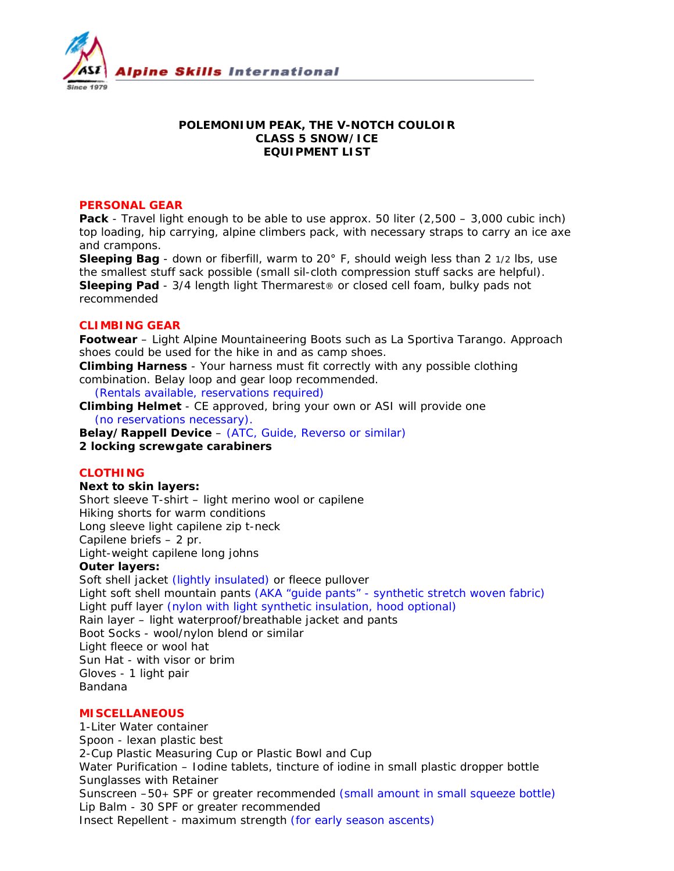

# **POLEMONIUM PEAK, THE V-NOTCH COULOIR CLASS 5 SNOW/ICE EQUIPMENT LIST**

### **PERSONAL GEAR**

**Pack** - Travel light enough to be able to use approx. 50 liter (2,500 – 3,000 cubic inch) top loading, hip carrying, alpine climbers pack, with necessary straps to carry an ice axe and crampons.

**Sleeping Bag** - down or fiberfill, warm to 20° F, should weigh less than 2 1/2 lbs, use the smallest stuff sack possible (small sil-cloth compression stuff sacks are helpful). **Sleeping Pad** - 3/4 length light Thermarest® or closed cell foam, bulky pads not recommended

### **CLIMBING GEAR**

**Footwear** – Light Alpine Mountaineering Boots such as La Sportiva Tarango. Approach shoes could be used for the hike in and as camp shoes.

**Climbing Harness** - Your harness must fit correctly with any possible clothing combination. Belay loop and gear loop recommended.

*(Rentals available, reservations required)*

**Climbing Helmet** - CE approved, bring your own or ASI will provide one  *(no reservations necessary).* 

**Belay/Rappell Device** – *(ATC, Guide, Reverso or similar)* **2 locking screwgate carabiners**

# **CLOTHING**

#### **Next to skin layers:**

Short sleeve T-shirt – light merino wool or capilene Hiking shorts for warm conditions Long sleeve light capilene zip t-neck Capilene briefs – 2 pr. Light-weight capilene long johns

### **Outer layers:**

Soft shell jacket *(lightly insulated)* or fleece pullover Light soft shell mountain pants *(AKA "guide pants" - synthetic stretch woven fabric)* Light puff layer *(nylon with light synthetic insulation, hood optional)* Rain layer – light waterproof/breathable jacket and pants Boot Socks - wool/nylon blend or similar Light fleece or wool hat Sun Hat - with visor or brim Gloves - 1 light pair Bandana

# **MISCELLANEOUS**

1-Liter Water container Spoon - lexan plastic best 2-Cup Plastic Measuring Cup or Plastic Bowl and Cup Water Purification – Iodine tablets, tincture of iodine in small plastic dropper bottle Sunglasses with Retainer Sunscreen –50+ SPF or greater recommended *(small amount in small squeeze bottle)* Lip Balm - 30 SPF or greater recommended Insect Repellent - maximum strength *(for early season ascents)*